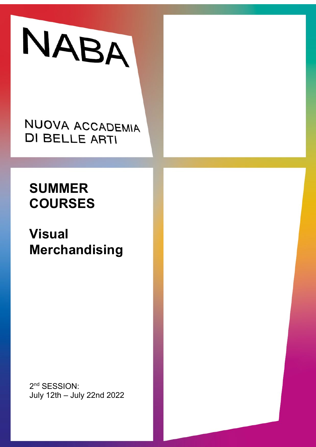

NUOVA ACCADEMIA **DI BELLE ARTI** 

# **SUMMER COURSES**

**Visual Merchandising**

2<sup>nd</sup> SESSION: July 12th – July 22nd 2022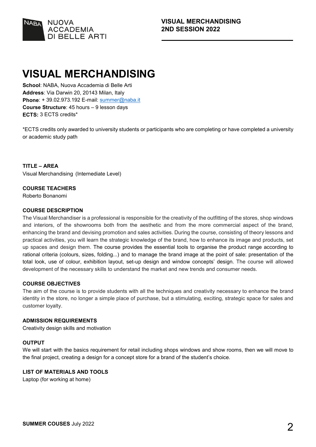

## **VISUAL MERCHANDISING**

**School**: NABA, Nuova Accademia di Belle Arti **Address**: Via Darwin 20, 20143 Milan, Italy **Phone**: + 39.02.973.192 E-mail: [summer@naba.it](mailto:summer@naba.it) **Course Structure**: 45 hours – 9 lesson days **ECTS:** 3 ECTS credits\*

\*ECTS credits only awarded to university students or participants who are completing or have completed a university or academic study path

**TITLE – AREA** Visual Merchandising (Internediate Level)

#### **COURSE TEACHERS**

Roberto Bonanomi

#### **COURSE DESCRIPTION**

The Visual Merchandiser is a professional is responsible for the creativity of the outfitting of the stores, shop windows and interiors, of the showrooms both from the aesthetic and from the more commercial aspect of the brand, enhancing the brand and devising promotion and sales activities. During the course, consisting of theory lessons and practical activities, you will learn the strategic knowledge of the brand, how to enhance its image and products, set up spaces and design them. The course provides the essential tools to organise the product range according to rational criteria (colours, sizes, folding...) and to manage the brand image at the point of sale: presentation of the total look, use of colour, exhibition layout, set-up design and window concepts' design. The course will allowed development of the necessary skills to understand the market and new trends and consumer needs.

#### **COURSE OBJECTIVES**

The aim of the course is to provide students with all the techniques and creativity necessary to enhance the brand identity in the store, no longer a simple place of purchase, but a stimulating, exciting, strategic space for sales and customer loyalty.

#### **ADMISSION REQUIREMENTS**

Creativity design skills and motivation

#### **OUTPUT**

We will start with the basics requirement for retail including shops windows and show rooms, then we will move to the final project, creating a design for a concept store for a brand of the student's choice.

#### **LIST OF MATERIALS AND TOOLS**

Laptop (for working at home)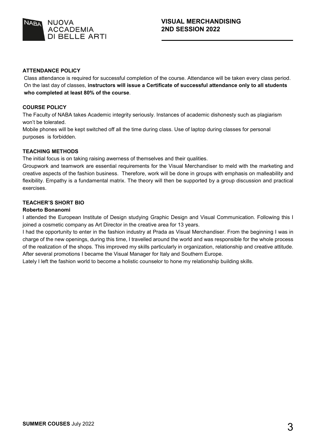

#### **ATTENDANCE POLICY**

Class attendance is required for successful completion of the course. Attendance will be taken every class period. On the last day of classes, **instructors will issue a Certificate of successful attendance only to all students who completed at least 80% of the course**.

#### **COURSE POLICY**

The Faculty of NABA takes Academic integrity seriously. Instances of academic dishonesty such as plagiarism won't be tolerated.

Mobile phones will be kept switched off all the time during class. Use of laptop during classes for personal purposes is forbidden.

#### **TEACHING METHODS**

The initial focus is on taking raising awerness of themselves and their qualities.

Groupwork and teamwork are essential requirements for the Visual Merchandiser to meld with the marketing and creative aspects of the fashion business. Therefore, work will be done in groups with emphasis on malleability and flexibility. Empathy is a fundamental matrix. The theory will then be supported by a group discussion and practical exercises.

#### **TEACHER'S SHORT BIO**

#### **Roberto Bonanomi**

I attended the European Institute of Design studying Graphic Design and Visual Communication. Following this I joined a cosmetic company as Art Director in the creative area for 13 years.

I had the opportunity to enter in the fashion industry at Prada as Visual Merchandiser. From the beginning I was in charge of the new openings, during this time, I travelled around the world and was responsible for the whole process of the realization of the shops. This improved my skills particularly in organization, relationship and creative attitude. After several promotions I became the Visual Manager for Italy and Southern Europe.

Lately I left the fashion world to become a holistic counselor to hone my relationship building skills.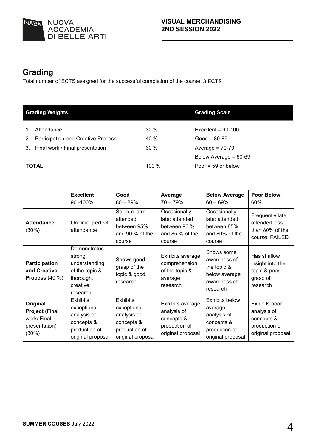

## **Grading**

Total number of ECTS assigned for the successful completion of the course: **3 ECTS**

|              | <b>Grading Weights</b>                    | <b>Grading Scale</b> |                       |
|--------------|-------------------------------------------|----------------------|-----------------------|
|              |                                           |                      |                       |
|              | Attendance                                | 30%                  | Excellent = $90-100$  |
| 2.           | <b>Participation and Creative Process</b> | 40 %                 | $Good = 80-89$        |
|              | 3. Final work / Final presentation        | 30%                  | Average = $70-79$     |
|              |                                           |                      | Below Average = 60-69 |
| <b>TOTAL</b> |                                           | 100 %                | Poor = $59$ or below  |

|                                                                               | <b>Excellent</b><br>90 - 100%                                                                     | Good<br>$80 - 89%$                                                                                | Average<br>$70 - 79%$                                                               | <b>Below Average</b><br>$60 - 69%$                                                                  | <b>Poor Below</b><br>60%                                                         |
|-------------------------------------------------------------------------------|---------------------------------------------------------------------------------------------------|---------------------------------------------------------------------------------------------------|-------------------------------------------------------------------------------------|-----------------------------------------------------------------------------------------------------|----------------------------------------------------------------------------------|
| <b>Attendance</b><br>(30%)                                                    | On time, perfect<br>attendance                                                                    | Seldom late:<br>attended<br>between 95%<br>and 90 % of the<br>course                              | Occasionally<br>late: attended<br>between 90 %<br>and $85%$ of the<br>course        | Occasionally<br>late: attended<br>between 85%<br>and 80% of the<br>course                           | Frequently late,<br>attended less<br>than 80% of the<br>course: FAILED           |
| Participation<br>and Creative<br>Process $(40\%)$                             | Demonstrates<br>strong<br>understanding<br>of the topic &<br>thorough,<br>creative<br>research    | Shows good<br>grasp of the<br>topic & good<br>research                                            | Exhibits average<br>comprehension<br>of the topic &<br>average<br>research          | Shows some<br>awareness of<br>the topic $\&$<br>below average<br>awareness of<br>research           | Has shallow<br>insight into the<br>topic & poor<br>grasp of<br>research          |
| Original<br><b>Project (Final</b><br>work/ Final<br>presentation)<br>$(30\%)$ | <b>Exhibits</b><br>exceptional<br>analysis of<br>concepts &<br>production of<br>original proposal | <b>Exhibits</b><br>exceptional<br>analysis of<br>concepts &<br>production of<br>original proposal | Exhibits average<br>analysis of<br>concepts &<br>production of<br>original proposal | <b>Exhibits below</b><br>average<br>analysis of<br>concepts &<br>production of<br>original proposal | Exhibits poor<br>analysis of<br>concepts &<br>production of<br>original proposal |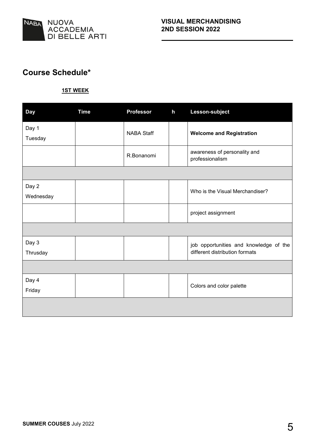

### **Course Schedule\***

#### **1ST WEEK**

| <b>Day</b>         | <b>Time</b> | <b>Professor</b>  | $\mathsf{h}$ | Lesson-subject                                                           |
|--------------------|-------------|-------------------|--------------|--------------------------------------------------------------------------|
| Day 1<br>Tuesday   |             | <b>NABA Staff</b> |              | <b>Welcome and Registration</b>                                          |
|                    |             | R.Bonanomi        |              | awareness of personality and<br>professionalism                          |
|                    |             |                   |              |                                                                          |
| Day 2<br>Wednesday |             |                   |              | Who is the Visual Merchandiser?                                          |
|                    |             |                   |              | project assignment                                                       |
|                    |             |                   |              |                                                                          |
| Day 3<br>Thrusday  |             |                   |              | job opportunities and knowledge of the<br>different distribution formats |
|                    |             |                   |              |                                                                          |
| Day 4<br>Friday    |             |                   |              | Colors and color palette                                                 |
|                    |             |                   |              |                                                                          |